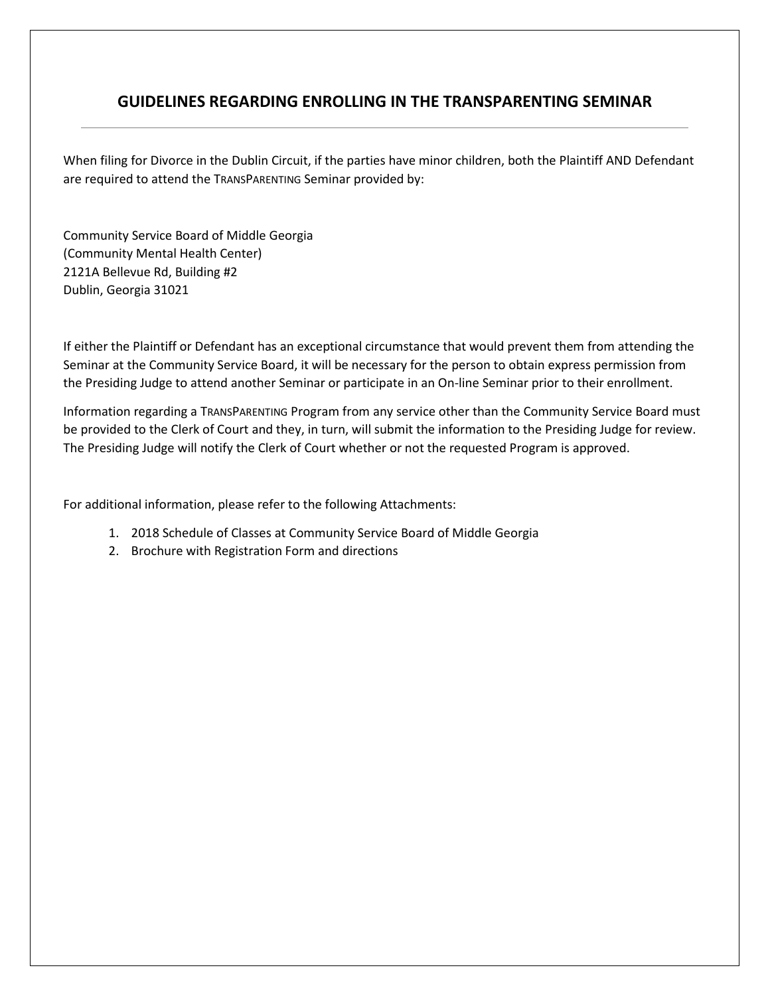#### **GUIDELINES REGARDING ENROLLING IN THE TRANSPARENTING SEMINAR**

When filing for Divorce in the Dublin Circuit, if the parties have minor children, both the Plaintiff AND Defendant are required to attend the TRANSPARENTING Seminar provided by:

Community Service Board of Middle Georgia (Community Mental Health Center) 2121A Bellevue Rd, Building #2 Dublin, Georgia 31021

If either the Plaintiff or Defendant has an exceptional circumstance that would prevent them from attending the Seminar at the Community Service Board, it will be necessary for the person to obtain express permission from the Presiding Judge to attend another Seminar or participate in an On-line Seminar prior to their enrollment.

Information regarding a TRANSPARENTING Program from any service other than the Community Service Board must be provided to the Clerk of Court and they, in turn, will submit the information to the Presiding Judge for review. The Presiding Judge will notify the Clerk of Court whether or not the requested Program is approved.

For additional information, please refer to the following Attachments:

- 1. 2018 Schedule of Classes at Community Service Board of Middle Georgia
- 2. Brochure with Registration Form and directions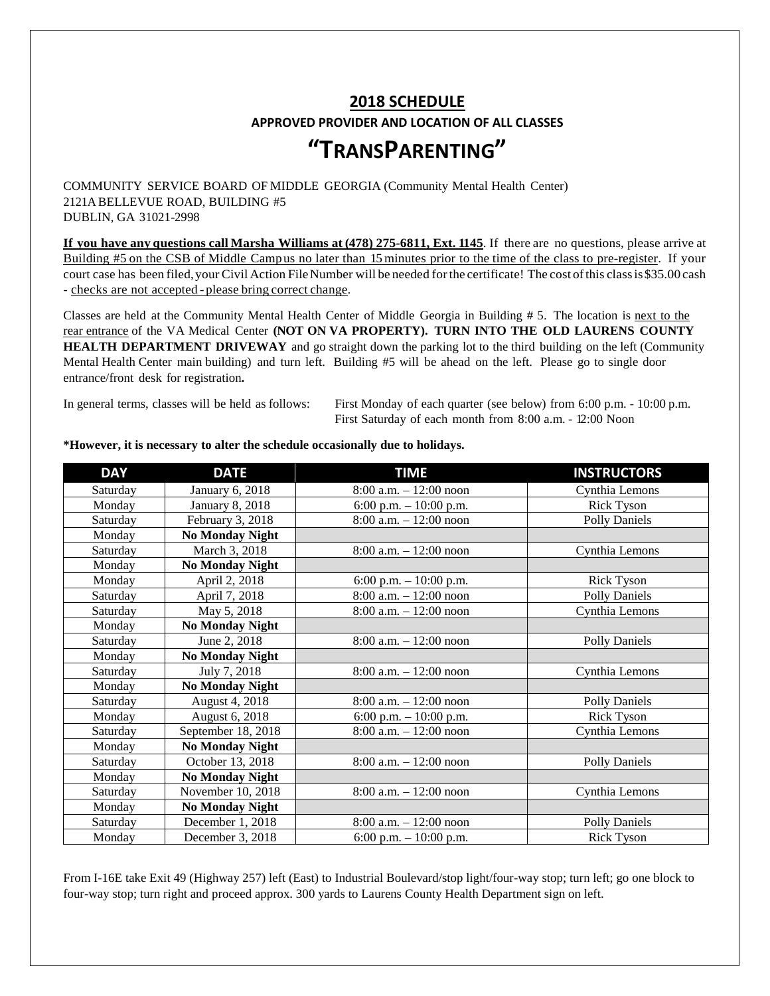### **2018 SCHEDULE APPROVED PROVIDER AND LOCATION OF ALL CLASSES**

## **"TRANSPARENTING"**

COMMUNITY SERVICE BOARD OF MIDDLE GEORGIA (Community Mental Health Center) 2121A BELLEVUE ROAD, BUILDING #5 DUBLIN, GA 31021-2998

**If you have any questions call Marsha Williams at (478) 275-6811, Ext. 1145**. If there are no questions, please arrive at Building #5 on the CSB of Middle Campus no later than 15minutes prior to the time of the class to pre-register. If your court case has been filed, your Civil Action File Number will be needed for the certificate! The cost of this class is \$35.00 cash - checks are not accepted - please bring correct change.

Classes are held at the Community Mental Health Center of Middle Georgia in Building # 5. The location is next to the rear entrance of the VA Medical Center **(NOT ON VA PROPERTY). TURN INTO THE OLD LAURENS COUNTY HEALTH DEPARTMENT DRIVEWAY** and go straight down the parking lot to the third building on the left (Community Mental Health Center main building) and turn left. Building #5 will be ahead on the left. Please go to single door entrance/front desk for registration**.**

In general terms, classes will be held as follows: First Monday of each quarter (see below) from 6:00 p.m. - 10:00 p.m. First Saturday of each month from 8:00 a.m. - 12:00 Noon

| <b>DAY</b> | <b>DATE</b>            | <b>TIME</b>               | <b>INSTRUCTORS</b>   |
|------------|------------------------|---------------------------|----------------------|
| Saturday   | January 6, 2018        | $8:00$ a.m. $-12:00$ noon | Cynthia Lemons       |
| Monday     | January 8, 2018        | 6:00 p.m. $-10:00$ p.m.   | <b>Rick Tyson</b>    |
| Saturday   | February 3, 2018       | $8:00$ a.m. $-12:00$ noon | <b>Polly Daniels</b> |
| Monday     | <b>No Monday Night</b> |                           |                      |
| Saturday   | March 3, 2018          | $8:00$ a.m. $-12:00$ noon | Cynthia Lemons       |
| Monday     | <b>No Monday Night</b> |                           |                      |
| Monday     | April 2, 2018          | 6:00 p.m. $-10:00$ p.m.   | <b>Rick Tyson</b>    |
| Saturday   | April 7, 2018          | $8:00$ a.m. $-12:00$ noon | <b>Polly Daniels</b> |
| Saturday   | May 5, 2018            | $8:00$ a.m. $-12:00$ noon | Cynthia Lemons       |
| Monday     | <b>No Monday Night</b> |                           |                      |
| Saturday   | June 2, 2018           | $8:00$ a.m. $-12:00$ noon | <b>Polly Daniels</b> |
| Monday     | <b>No Monday Night</b> |                           |                      |
| Saturday   | July 7, 2018           | $8:00$ a.m. $-12:00$ noon | Cynthia Lemons       |
| Monday     | <b>No Monday Night</b> |                           |                      |
| Saturday   | August 4, 2018         | $8:00$ a.m. $-12:00$ noon | <b>Polly Daniels</b> |
| Monday     | August 6, 2018         | 6:00 p.m. $-10:00$ p.m.   | <b>Rick Tyson</b>    |
| Saturday   | September 18, 2018     | $8:00$ a.m. $-12:00$ noon | Cynthia Lemons       |
| Monday     | <b>No Monday Night</b> |                           |                      |
| Saturday   | October 13, 2018       | $8:00$ a.m. $-12:00$ noon | <b>Polly Daniels</b> |
| Monday     | <b>No Monday Night</b> |                           |                      |
| Saturday   | November 10, 2018      | $8:00$ a.m. $-12:00$ noon | Cynthia Lemons       |
| Monday     | <b>No Monday Night</b> |                           |                      |
| Saturday   | December 1, 2018       | $8:00$ a.m. $-12:00$ noon | <b>Polly Daniels</b> |
| Monday     | December 3, 2018       | 6:00 p.m. $-10:00$ p.m.   | <b>Rick Tyson</b>    |

#### **\*However, it is necessary to alter the schedule occasionally due to holidays.**

From I-16E take Exit 49 (Highway 257) left (East) to Industrial Boulevard/stop light/four-way stop; turn left; go one block to four-way stop; turn right and proceed approx. 300 yards to Laurens County Health Department sign on left.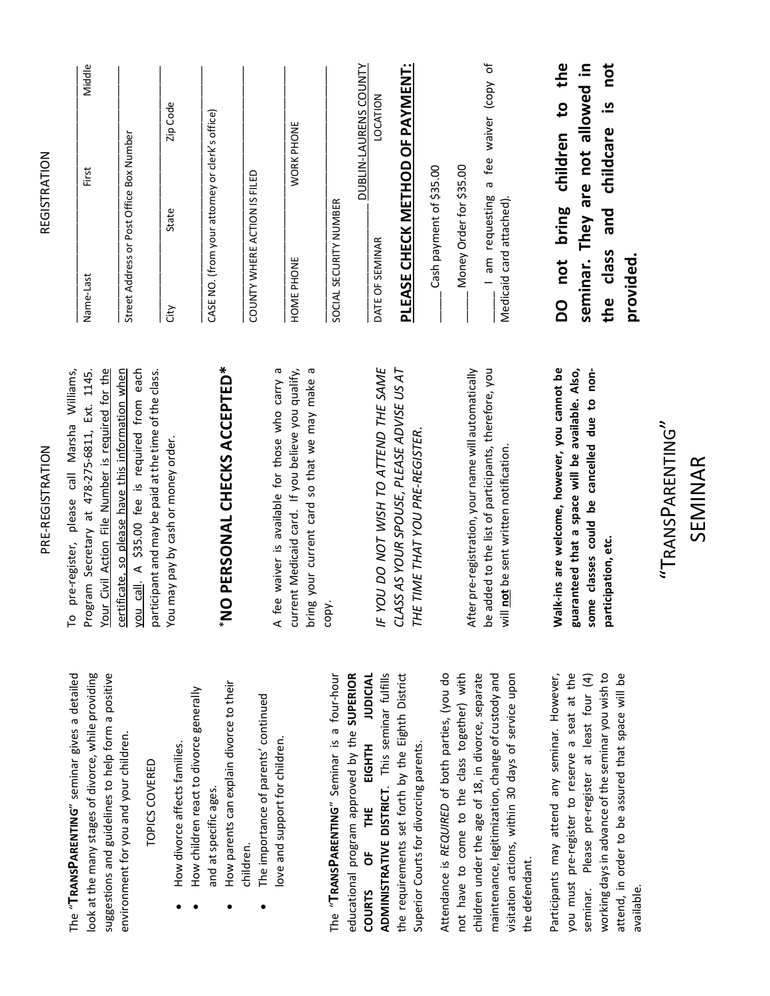| To pre-register, please call Marsha Williams,                                                                                                                          | Name-Last                                                                                  | Middle<br>First                          |  |
|------------------------------------------------------------------------------------------------------------------------------------------------------------------------|--------------------------------------------------------------------------------------------|------------------------------------------|--|
| Your Civil Action File Number is required for the<br>Program Secretary at 478-275-6811, Ext. 1145.                                                                     |                                                                                            |                                          |  |
| you call. A \$35.00 fee is required from each<br>certificate, so please have this information when                                                                     | Street Address or Post Office Box Number                                                   |                                          |  |
| participant and may be paid at the time of the class.<br>You may pay by cash or money order.                                                                           | State<br>City                                                                              | Zip Code                                 |  |
| "NO PERSONAL CHECKS ACCEPTED*                                                                                                                                          | CASE NO. (from your attorney or clerk's office)                                            |                                          |  |
|                                                                                                                                                                        | COUNTY WHERE ACTION IS FILED                                                               |                                          |  |
| A fee waiver is available for those who carry a<br>current Medicaid card. If you believe you qualify,<br>bring your current card so that we may make a                 | HOME PHONE                                                                                 | WORK PHONE                               |  |
| copy.                                                                                                                                                                  | SOCIAL SECURITY NUMBER                                                                     |                                          |  |
| IF YOU DO NOT WISH TO ATTEND THE SAME                                                                                                                                  | DATE OF SEMINAR                                                                            | <b>DUBLIN-LAURENS COUNTY</b><br>LOCATION |  |
| CLASS AS YOUR SPOUSE, PLEASE ADVISE US AT<br>THE TIME THAT YOU PRE-REGISTER.                                                                                           | <b>PLEASE CHECK METHOD OF PAYMENT:</b>                                                     |                                          |  |
|                                                                                                                                                                        | Cash payment of \$35.00                                                                    |                                          |  |
| After pre-registration, your name will automatically                                                                                                                   | Money Order for \$35.00                                                                    |                                          |  |
| be added to the list of participants, therefore, you<br>will not be sent written notification.                                                                         | I am requesting<br>Medicaid card attached).                                                | a fee waiver (copy of                    |  |
| Walk-ins are welcome, however, you cannot be<br>guaranteed that a space will be available. Also,<br>some classes could be cancelled due to non-<br>participation, etc. | DO not bring children to the<br>seminar. They are not allowed in<br>the class<br>provided. | not<br>and childcare is                  |  |

# PRE-REGISTRATION PRE-REGISTRATION

REGISTRATION

**REGISTRATION** 

The "**TRANSPARENTING**" seminar gives a detailed look at the many stages of divorce, while providing suggestions and guidelines to help form a positive The "TRANSPARENTING" seminar gives a detailed look at the many stages of divorce, while providing suggestions and guidelines to help form a positive environment for you and your children. environment for you and your children.

## TOPICS COVERED TOPICS COVERED

- How divorce affects families. • How divorce affects families.  $\bullet$
- How children react to divorce generally • How children react to divorce generally and at specific ages. and at specific ages.  $\bullet$
- How parents can explain divorce to their • How parents can explain divorce to their children.
- The importance of parents' continued • The importance of parents' continued ove and support for children. love and support for children.

The "**TRANSPARENTING**" Seminar is a four-hour educational program approved by the **SUPERIOR**  COURTS OF THE THE SEXDOU **ADMINISTRATIVE DISTRICT**. This seminar fulfills the requirements set forth by the Eighth District educational program approved by the SUPERIOR **JUDICIAL** ADMINISTRATIVE DISTRICT. This seminar fulfills The "TRANSPARENTING" Seminar is a four-hour the requirements set forth by the Eighth District EIGHTH Superior Courts for divorcing parents. Superior Courts for divorcing parents. ¥<br>F ხ<br>შ **COURTS** 

Attendance is *REQUIRED* of both parties, (you do not have to come to the class together) with maintenance, legitimization, change of custody and visitation actions, within 30 days of service upon Attendance is REQUIRED of both parties, (you do children under the age of 18, in divorce, separate maintenance, legitimization, change of custody and visitation actions, within 30 days of service upon not have to come to the class together) with children under the age of 18, in divorce, separate the defendant. the defendant.

Participants may attend any seminar. However, you must pre-register to reserve a seat at the seminar. Please pre-register at least four (4) working days in advance of the seminar you wish to attend, in order to be assured that space will be you must pre-register to reserve a seat at the seminar. Please pre-register at least four (4) working days in advance of the seminar you wish to attend, in order to be assured that space will be Participants may attend any seminar. However, available. "TRANSPARENTING" "TRANSPARENTING" SEMINAR